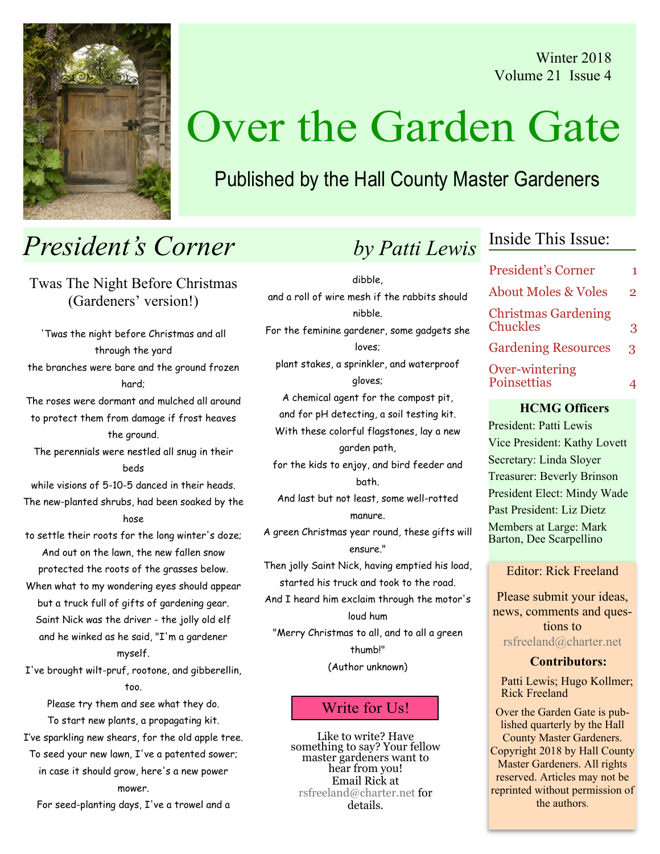Winter 2018 Volume 21 Issue 4



# Over the Garden Gate

## Published by the Hall County Master Gardeners

## **President's Corner** by Patti Lewis

Twas The Night Before Christmas (Gardeners' version!)

'Twas the night before Christmas and all through the yard the branches were bare and the ground frozen hard; The roses were dormant and mulched all around to protect them from damage if frost heaves the ground. The perennials were nestled all snug in their beds while visions of 5-10-5 danced in their heads. The new-planted shrubs, had been soaked by the hose to settle their roots for the long winter's doze; And out on the lawn, the new fallen snow protected the roots of the grasses below. When what to my wondering eyes should appear but a truck full of gifts of gardening gear. Saint Nick was the driver - the jolly old elf and he winked as he said, "I'm a gardener myself. I've brought wilt-pruf, rootone, and gibberellin, too. Please try them and see what they do. To start new plants, a propagating kit. I've sparkling new shears, for the old apple tree. To seed your new lawn, I've a patented sower; in case it should grow, here's a new power

mower.

For seed-planting days, I've a trowel and a

| <b>President's Corner</b>                     |                |
|-----------------------------------------------|----------------|
| <b>About Moles &amp; Voles</b>                | $\overline{2}$ |
| <b>Christmas Gardening</b><br><b>Chuckles</b> | 3              |
| <b>Gardening Resources</b>                    | $\mathbf{R}$   |
| Over-wintering<br>Poinsettias                 |                |

Inside This Issue:

#### HCMG Officers

President: Patti Lewis Vice President: Kathy Lovett Secretary: Linda Sloyer Treasurer: Beverly Brinson President Elect: Mindy Wade Past President: Liz Dietz Members at Large: Mark Barton, Dee Scarpellino

Editor: Rick Freeland

Please submit your ideas, news, comments and questions to rsfreeland@charter.net

#### Contributors:

Patti Lewis; Hugo Kollmer; Rick Freeland

Over the Garden Gate is published quarterly by the Hall County Master Gardeners. Copyright 2018 by Hall County Master Gardeners. All rights reserved. Articles may not be reprinted without permission of the authors.

dibble, and a roll of wire mesh if the rabbits should nibble. For the feminine gardener, some gadgets she loves; plant stakes, a sprinkler, and waterproof gloves; A chemical agent for the compost pit, and for pH detecting, a soil testing kit. With these colorful flagstones, lay a new garden path, for the kids to enjoy, and bird feeder and bath. And last but not least, some well-rotted manure.

A green Christmas year round, these gifts will ensure."

Then jolly Saint Nick, having emptied his load, started his truck and took to the road.

And I heard him exclaim through the motor's loud hum

"Merry Christmas to all, and to all a green thumb!"

(Author unknown)

## Write for Us!

Like to write? Have something to say? Your fellow master gardeners want to hear from you! Email Rick at rsfreeland@charter.net for details.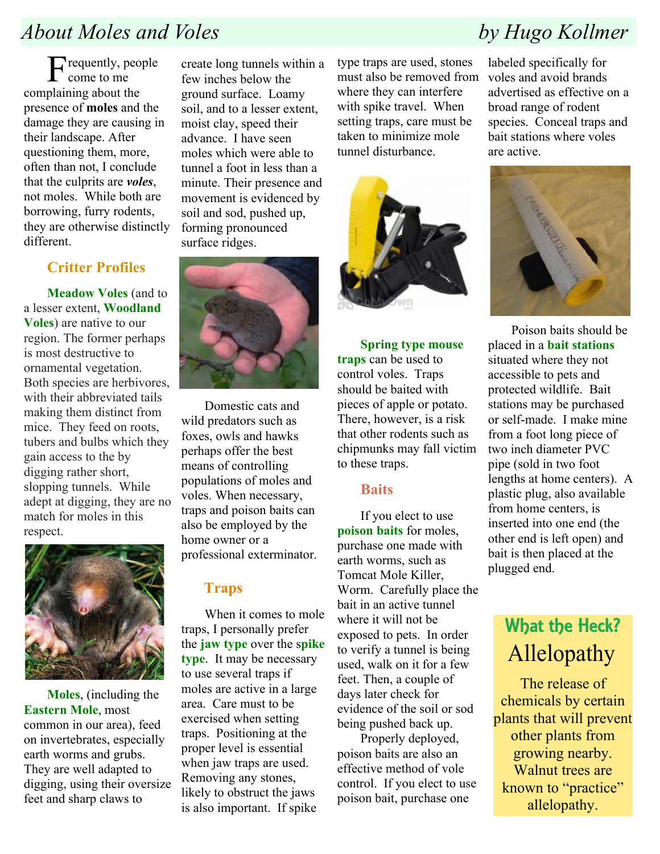## About Moles and Voles **by Hugo Kollmer**

Frequently, people come to me complaining about the presence of moles and the damage they are causing in their landscape. After questioning them, more, often than not, I conclude that the culprits are voles, not moles. While both are borrowing, furry rodents, they are otherwise distinctly different.

## Critter Profiles

Meadow Voles (and to a lesser extent, Woodland Voles) are native to our region. The former perhaps is most destructive to ornamental vegetation. Both species are herbivores, with their abbreviated tails making them distinct from mice. They feed on roots, tubers and bulbs which they gain access to the by digging rather short, slopping tunnels. While adept at digging, they are no match for moles in this respect.



Moles, (including the Eastern Mole, most common in our area), feed on invertebrates, especially earth worms and grubs. They are well adapted to digging, using their oversize feet and sharp claws to

create long tunnels within a few inches below the ground surface. Loamy soil, and to a lesser extent, moist clay, speed their advance. I have seen moles which were able to tunnel a foot in less than a minute. Their presence and movement is evidenced by soil and sod, pushed up, forming pronounced surface ridges.



Domestic cats and wild predators such as foxes, owls and hawks perhaps offer the best means of controlling populations of moles and voles. When necessary, traps and poison baits can also be employed by the home owner or a professional exterminator.

### Traps

When it comes to mole traps, I personally prefer the jaw type over the spike type. It may be necessary to use several traps if moles are active in a large area. Care must to be exercised when setting traps. Positioning at the proper level is essential when jaw traps are used. Removing any stones, likely to obstruct the jaws is also important. If spike

type traps are used, stones must also be removed from where they can interfere with spike travel. When setting traps, care must be taken to minimize mole tunnel disturbance.



Spring type mouse traps can be used to control voles. Traps should be baited with pieces of apple or potato. There, however, is a risk that other rodents such as chipmunks may fall victim to these traps.

### **Raits**

If you elect to use poison baits for moles, purchase one made with earth worms, such as Tomcat Mole Killer, Worm. Carefully place the bait in an active tunnel where it will not be exposed to pets. In order to verify a tunnel is being used, walk on it for a few feet. Then, a couple of days later check for evidence of the soil or sod being pushed back up.

Properly deployed, poison baits are also an effective method of vole control. If you elect to use poison bait, purchase one

labeled specifically for voles and avoid brands advertised as effective on a broad range of rodent species. Conceal traps and bait stations where voles are active.



Poison baits should be placed in a bait stations situated where they not accessible to pets and protected wildlife. Bait stations may be purchased or self-made. I make mine from a foot long piece of two inch diameter PVC pipe (sold in two foot lengths at home centers). A plastic plug, also available from home centers, is inserted into one end (the other end is left open) and bait is then placed at the plugged end.

## What the Heck? Allelopathy

The release of chemicals by certain plants that will prevent other plants from growing nearby. Walnut trees are known to "practice" allelopathy.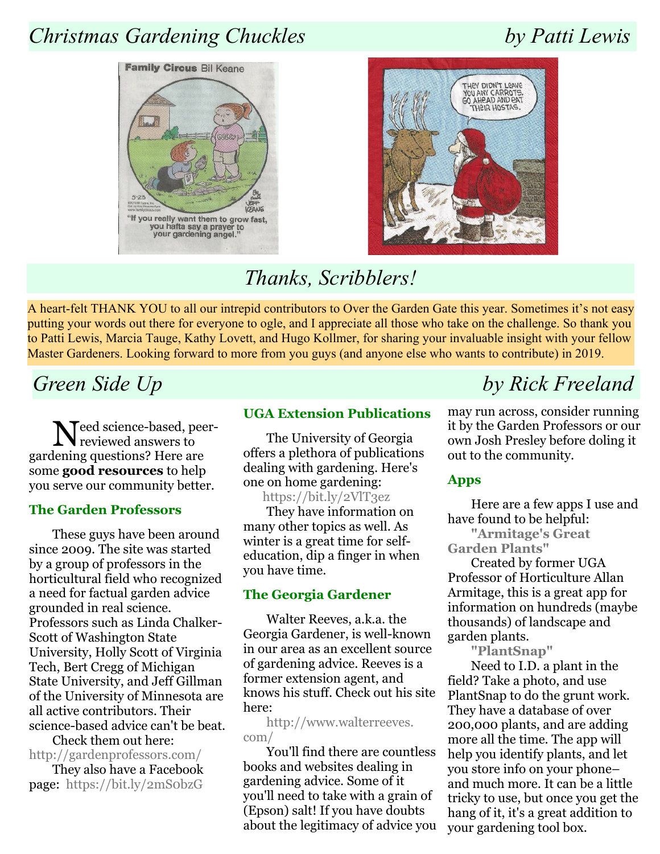## Christmas Gardening Chuckles by Patti Lewis





## Thanks, Scribblers!

A heart-felt THANK YOU to all our intrepid contributors to Over the Garden Gate this year. Sometimes it's not easy putting your words out there for everyone to ogle, and I appreciate all those who take on the challenge. So thank you to Patti Lewis, Marcia Tauge, Kathy Lovett, and Hugo Kollmer, for sharing your invaluable insight with your fellow Master Gardeners. Looking forward to more from you guys (and anyone else who wants to contribute) in 2019.

Need science-based, peer-reviewed answers to gardening questions? Here are some good resources to help you serve our community better.

#### The Garden Professors

These guys have been around since 2009. The site was started by a group of professors in the horticultural field who recognized a need for factual garden advice grounded in real science. Professors such as Linda Chalker-Scott of Washington State University, Holly Scott of Virginia Tech, Bert Cregg of Michigan State University, and Jeff Gillman of the University of Minnesota are all active contributors. Their science-based advice can't be beat.

Check them out here: http://gardenprofessors.com/

They also have a Facebook page: https://bit.ly/2mS0bzG

#### UGA Extension Publications

The University of Georgia offers a plethora of publications dealing with gardening. Here's one on home gardening:

https://bit.ly/2VlT3ez They have information on many other topics as well. As winter is a great time for selfeducation, dip a finger in when you have time.

### The Georgia Gardener

Walter Reeves, a.k.a. the Georgia Gardener, is well-known in our area as an excellent source of gardening advice. Reeves is a former extension agent, and knows his stuff. Check out his site here:

http://www.walterreeves. com/

You'll find there are countless books and websites dealing in gardening advice. Some of it you'll need to take with a grain of (Epson) salt! If you have doubts about the legitimacy of advice you

## Green Side Up by Rick Freeland

may run across, consider running it by the Garden Professors or our own Josh Presley before doling it out to the community.

### Apps

Here are a few apps I use and have found to be helpful:

"Armitage's Great Garden Plants"

Created by former UGA Professor of Horticulture Allan Armitage, this is a great app for information on hundreds (maybe thousands) of landscape and garden plants.

"PlantSnap"

Need to I.D. a plant in the field? Take a photo, and use PlantSnap to do the grunt work. They have a database of over 200,000 plants, and are adding more all the time. The app will help you identify plants, and let you store info on your phone– and much more. It can be a little tricky to use, but once you get the hang of it, it's a great addition to your gardening tool box.